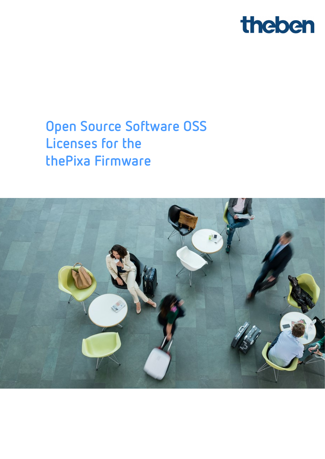

## **Open Source Software OSS Licenses for the thePixa Firmware**

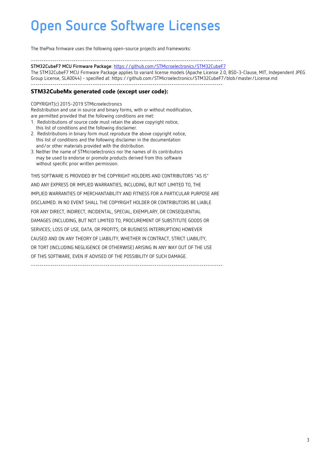The thePixa firmware uses the following open-source projects and frameworks:

------------------------------------------------------------------------------------------

**STM32CubeF7 MCU Firmware Package**[: https://github.com/STMicroelectronics/STM32CubeF7](https://github.com/STMicroelectronics/STM32CubeF7)

The STM32CubeF7 MCU Firmware Package applies to variant license models (Apache License 2.0, BSD-3-Clause, MIT, Independent JPEG Group License, SLA0044) - specified at: https://github.com/STMicroelectronics/STM32CubeF7/blob/master/License.md ------------------------------------------------------------------------------------------

#### **STM32CubeMx generated code (except user code):**

COPYRIGHT(c) 2015-2019 STMicroelectronics

Redistribution and use in source and binary forms, with or without modification, are permitted provided that the following conditions are met:

- 1. Redistributions of source code must retain the above copyright notice, this list of conditions and the following disclaimer.
- 2. Redistributions in binary form must reproduce the above copyright notice, this list of conditions and the following disclaimer in the documentation and/or other materials provided with the distribution.
- 3. Neither the name of STMicroelectronics nor the names of its contributors may be used to endorse or promote products derived from this software without specific prior written permission.

THIS SOFTWARE IS PROVIDED BY THE COPYRIGHT HOLDERS AND CONTRIBUTORS "AS IS" AND ANY EXPRESS OR IMPLIED WARRANTIES, INCLUDING, BUT NOT LIMITED TO, THE IMPLIED WARRANTIES OF MERCHANTABILITY AND FITNESS FOR A PARTICULAR PURPOSE ARE DISCLAIMED. IN NO EVENT SHALL THE COPYRIGHT HOLDER OR CONTRIBUTORS BE LIABLE FOR ANY DIRECT, INDIRECT, INCIDENTAL, SPECIAL, EXEMPLARY, OR CONSEQUENTIAL DAMAGES (INCLUDING, BUT NOT LIMITED TO, PROCUREMENT OF SUBSTITUTE GOODS OR SERVICES; LOSS OF USE, DATA, OR PROFITS; OR BUSINESS INTERRUPTION) HOWEVER CAUSED AND ON ANY THEORY OF LIABILITY, WHETHER IN CONTRACT, STRICT LIABILITY, OR TORT (INCLUDING NEGLIGENCE OR OTHERWISE) ARISING IN ANY WAY OUT OF THE USE OF THIS SOFTWARE, EVEN IF ADVISED OF THE POSSIBILITY OF SUCH DAMAGE. ------------------------------------------------------------------------------------------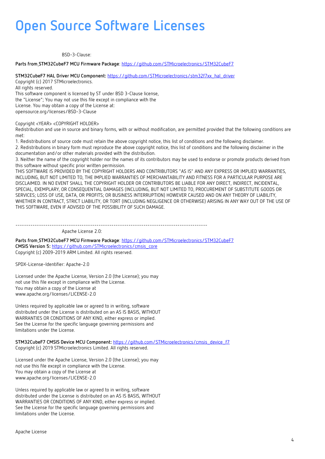BSD-3-Clause:

#### **Parts from STM32CubeF7 MCU Firmware Package**:<https://github.com/STMicroelectronics/STM32CubeF7>

**STM32CubeF7 HAL Driver MCU Component:** [https://github.com/STMicroelectronics/stm32f7xx\\_hal\\_driver](https://github.com/STMicroelectronics/stm32f7xx_hal_driver)

Copyright (c) 2017 STMicroelectronics. All rights reserved. This software component is licensed by ST under BSD 3-Clause license, the "License"; You may not use this file except in compliance with the

License. You may obtain a copy of the License at:

opensource.org/licenses/BSD-3-Clause

Copyright <YEAR> <COPYRIGHT HOLDER>

Redistribution and use in source and binary forms, with or without modification, are permitted provided that the following conditions are met:

1. Redistributions of source code must retain the above copyright notice, this list of conditions and the following disclaimer.

2. Redistributions in binary form must reproduce the above copyright notice, this list of conditions and the following disclaimer in the documentation and/or other materials provided with the distribution.

3. Neither the name of the copyright holder nor the names of its contributors may be used to endorse or promote products derived from this software without specific prior written permission.

THIS SOFTWARE IS PROVIDED BY THE COPYRIGHT HOLDERS AND CONTRIBUTORS "AS IS" AND ANY EXPRESS OR IMPLIED WARRANTIES, INCLUDING, BUT NOT LIMITED TO, THE IMPLIED WARRANTIES OF MERCHANTABILITY AND FITNESS FOR A PARTICULAR PURPOSE ARE DISCLAIMED. IN NO EVENT SHALL THE COPYRIGHT HOLDER OR CONTRIBUTORS BE LIABLE FOR ANY DIRECT, INDIRECT, INCIDENTAL, SPECIAL, EXEMPLARY, OR CONSEQUENTIAL DAMAGES (INCLUDING, BUT NOT LIMITED TO, PROCUREMENT OF SUBSTITUTE GOODS OR SERVICES; LOSS OF USE, DATA, OR PROFITS; OR BUSINESS INTERRUPTION) HOWEVER CAUSED AND ON ANY THEORY OF LIABILITY, WHETHER IN CONTRACT, STRICT LIABILITY, OR TORT (INCLUDING NEGLIGENCE OR OTHERWISE) ARISING IN ANY WAY OUT OF THE USE OF THIS SOFTWARE, EVEN IF ADVISED OF THE POSSIBILITY OF SUCH DAMAGE.

------------------------------------------------------------------------------------------ Apache License 2.0:

**Parts from STM32CubeF7 MCU Firmware Package**:<https://github.com/STMicroelectronics/STM32CubeF7> **CMSIS Version 5:** [https://github.com/STMicroelectronics/cmsis\\_core](https://github.com/STMicroelectronics/cmsis_core) Copyright (c) 2009-2019 ARM Limited. All rights reserved.

SPDX-License-Identifier: Apache-2.0

Licensed under the Apache License, Version 2.0 (the License); you may not use this file except in compliance with the License. You may obtain a copy of the License at www.apache.org/licenses/LICENSE-2.0

Unless required by applicable law or agreed to in writing, software distributed under the License is distributed on an AS IS BASIS, WITHOUT WARRANTIES OR CONDITIONS OF ANY KIND, either express or implied. See the License for the specific language governing permissions and limitations under the License.

**STM32CubeF7 CMSIS Device MCU Component:** [https://github.com/STMicroelectronics/cmsis\\_device\\_f7](https://github.com/STMicroelectronics/cmsis_device_f7) Copyright (c) 2019 STMicroelectronics Limited. All rights reserved.

Licensed under the Apache License, Version 2.0 (the License); you may not use this file except in compliance with the License. You may obtain a copy of the License at www.apache.org/licenses/LICENSE-2.0

Unless required by applicable law or agreed to in writing, software distributed under the License is distributed on an AS IS BASIS, WITHOUT WARRANTIES OR CONDITIONS OF ANY KIND, either express or implied. See the License for the specific language governing permissions and limitations under the License.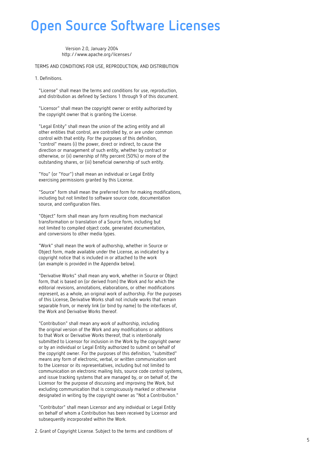Version 2.0, January 2004 http://www.apache.org/licenses/

TERMS AND CONDITIONS FOR USE, REPRODUCTION, AND DISTRIBUTION

1. Definitions.

 "License" shall mean the terms and conditions for use, reproduction, and distribution as defined by Sections 1 through 9 of this document.

 "Licensor" shall mean the copyright owner or entity authorized by the copyright owner that is granting the License.

 "Legal Entity" shall mean the union of the acting entity and all other entities that control, are controlled by, or are under common control with that entity. For the purposes of this definition, "control" means (i) the power, direct or indirect, to cause the direction or management of such entity, whether by contract or otherwise, or (ii) ownership of fifty percent (50%) or more of the outstanding shares, or (iii) beneficial ownership of such entity.

 "You" (or "Your") shall mean an individual or Legal Entity exercising permissions granted by this License.

 "Source" form shall mean the preferred form for making modifications, including but not limited to software source code, documentation source, and configuration files.

 "Object" form shall mean any form resulting from mechanical transformation or translation of a Source form, including but not limited to compiled object code, generated documentation, and conversions to other media types.

 "Work" shall mean the work of authorship, whether in Source or Object form, made available under the License, as indicated by a copyright notice that is included in or attached to the work (an example is provided in the Appendix below).

 "Derivative Works" shall mean any work, whether in Source or Object form, that is based on (or derived from) the Work and for which the editorial revisions, annotations, elaborations, or other modifications represent, as a whole, an original work of authorship. For the purposes of this License, Derivative Works shall not include works that remain separable from, or merely link (or bind by name) to the interfaces of, the Work and Derivative Works thereof.

 "Contribution" shall mean any work of authorship, including the original version of the Work and any modifications or additions to that Work or Derivative Works thereof, that is intentionally submitted to Licensor for inclusion in the Work by the copyright owner or by an individual or Legal Entity authorized to submit on behalf of the copyright owner. For the purposes of this definition, "submitted" means any form of electronic, verbal, or written communication sent to the Licensor or its representatives, including but not limited to communication on electronic mailing lists, source code control systems, and issue tracking systems that are managed by, or on behalf of, the Licensor for the purpose of discussing and improving the Work, but excluding communication that is conspicuously marked or otherwise designated in writing by the copyright owner as "Not a Contribution."

 "Contributor" shall mean Licensor and any individual or Legal Entity on behalf of whom a Contribution has been received by Licensor and subsequently incorporated within the Work.

2. Grant of Copyright License. Subject to the terms and conditions of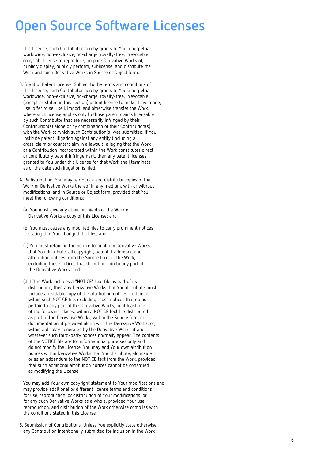this License, each Contributor hereby grants to You a perpetual, worldwide, non-exclusive, no-charge, royalty-free, irrevocable copyright license to reproduce, prepare Derivative Works of, publicly display, publicly perform, sublicense, and distribute the Work and such Derivative Works in Source or Object form.

- 3. Grant of Patent License. Subject to the terms and conditions of this License, each Contributor hereby grants to You a perpetual, worldwide, non-exclusive, no-charge, royalty-free, irrevocable (except as stated in this section) patent license to make, have made, use, offer to sell, sell, import, and otherwise transfer the Work, where such license applies only to those patent claims licensable by such Contributor that are necessarily infringed by their Contribution(s) alone or by combination of their Contribution(s) with the Work to which such Contribution(s) was submitted. If You institute patent litigation against any entity (including a cross-claim or counterclaim in a lawsuit) alleging that the Work or a Contribution incorporated within the Work constitutes direct or contributory patent infringement, then any patent licenses granted to You under this License for that Work shall terminate as of the date such litigation is filed.
- 4. Redistribution. You may reproduce and distribute copies of the Work or Derivative Works thereof in any medium, with or without modifications, and in Source or Object form, provided that You meet the following conditions:
	- (a) You must give any other recipients of the Work or Derivative Works a copy of this License; and
	- (b) You must cause any modified files to carry prominent notices stating that You changed the files; and
	- (c) You must retain, in the Source form of any Derivative Works that You distribute, all copyright, patent, trademark, and attribution notices from the Source form of the Work, excluding those notices that do not pertain to any part of the Derivative Works; and
	- (d) If the Work includes a "NOTICE" text file as part of its distribution, then any Derivative Works that You distribute must include a readable copy of the attribution notices contained within such NOTICE file, excluding those notices that do not pertain to any part of the Derivative Works, in at least one of the following places: within a NOTICE text file distributed as part of the Derivative Works; within the Source form or documentation, if provided along with the Derivative Works; or, within a display generated by the Derivative Works, if and wherever such third-party notices normally appear. The contents of the NOTICE file are for informational purposes only and do not modify the License. You may add Your own attribution notices within Derivative Works that You distribute, alongside or as an addendum to the NOTICE text from the Work, provided that such additional attribution notices cannot be construed as modifying the License.

 You may add Your own copyright statement to Your modifications and may provide additional or different license terms and conditions for use, reproduction, or distribution of Your modifications, or for any such Derivative Works as a whole, provided Your use, reproduction, and distribution of the Work otherwise complies with the conditions stated in this License.

 5. Submission of Contributions. Unless You explicitly state otherwise, any Contribution intentionally submitted for inclusion in the Work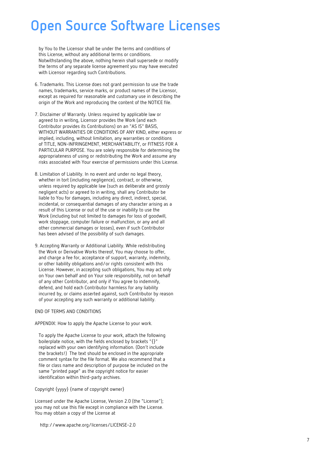by You to the Licensor shall be under the terms and conditions of this License, without any additional terms or conditions. Notwithstanding the above, nothing herein shall supersede or modify the terms of any separate license agreement you may have executed with Licensor regarding such Contributions.

- 6. Trademarks. This License does not grant permission to use the trade names, trademarks, service marks, or product names of the Licensor, except as required for reasonable and customary use in describing the origin of the Work and reproducing the content of the NOTICE file.
- 7. Disclaimer of Warranty. Unless required by applicable law or agreed to in writing, Licensor provides the Work (and each Contributor provides its Contributions) on an "AS IS" BASIS, WITHOUT WARRANTIES OR CONDITIONS OF ANY KIND, either express or implied, including, without limitation, any warranties or conditions of TITLE, NON-INFRINGEMENT, MERCHANTABILITY, or FITNESS FOR A PARTICULAR PURPOSE. You are solely responsible for determining the appropriateness of using or redistributing the Work and assume any risks associated with Your exercise of permissions under this License.
- 8. Limitation of Liability. In no event and under no legal theory, whether in tort (including negligence), contract, or otherwise, unless required by applicable law (such as deliberate and grossly negligent acts) or agreed to in writing, shall any Contributor be liable to You for damages, including any direct, indirect, special, incidental, or consequential damages of any character arising as a result of this License or out of the use or inability to use the Work (including but not limited to damages for loss of goodwill, work stoppage, computer failure or malfunction, or any and all other commercial damages or losses), even if such Contributor has been advised of the possibility of such damages.
- 9. Accepting Warranty or Additional Liability. While redistributing the Work or Derivative Works thereof, You may choose to offer, and charge a fee for, acceptance of support, warranty, indemnity, or other liability obligations and/or rights consistent with this License. However, in accepting such obligations, You may act only on Your own behalf and on Your sole responsibility, not on behalf of any other Contributor, and only if You agree to indemnify, defend, and hold each Contributor harmless for any liability incurred by, or claims asserted against, such Contributor by reason of your accepting any such warranty or additional liability.

#### END OF TERMS AND CONDITIONS

APPENDIX: How to apply the Apache License to your work.

 To apply the Apache License to your work, attach the following boilerplate notice, with the fields enclosed by brackets "{}" replaced with your own identifying information. (Don't include the brackets!) The text should be enclosed in the appropriate comment syntax for the file format. We also recommend that a file or class name and description of purpose be included on the same "printed page" as the copyright notice for easier identification within third-party archives.

Copyright {yyyy} {name of copyright owner}

 Licensed under the Apache License, Version 2.0 (the "License"); you may not use this file except in compliance with the License. You may obtain a copy of the License at

http://www.apache.org/licenses/LICENSE-2.0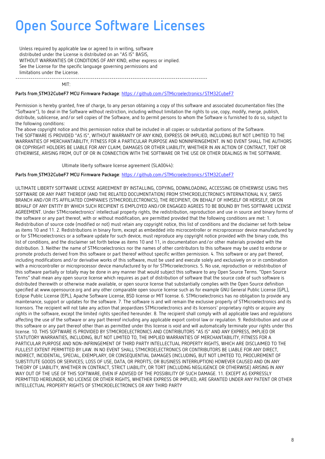Unless required by applicable law or agreed to in writing, software distributed under the License is distributed on an "AS IS" BASIS, WITHOUT WARRANTIES OR CONDITIONS OF ANY KIND, either express or implied. See the License for the specific language governing permissions and limitations under the License. ------------------------------------------------------------------------------------------

MIT:

#### **Parts from STM32CubeF7 MCU Firmware Package**:<https://github.com/STMicroelectronics/STM32CubeF7>

Permission is hereby granted, free of charge, to any person obtaining a copy of this software and associated documentation files (the "Software"), to deal in the Software without restriction, including without limitation the rights to use, copy, modify, merge, publish, distribute, sublicense, and/or sell copies of the Software, and to permit persons to whom the Software is furnished to do so, subject to the following conditions:

The above copyright notice and this permission notice shall be included in all copies or substantial portions of the Software. THE SOFTWARE IS PROVIDED "AS IS", WITHOUT WARRANTY OF ANY KIND, EXPRESS OR IMPLIED, INCLUDING BUT NOT LIMITED TO THE WARRANTIES OF MERCHANTABILITY, FITNESS FOR A PARTICULAR PURPOSE AND NONINFRINGEMENT. IN NO EVENT SHALL THE AUTHORS OR COPYRIGHT HOLDERS BE LIABLE FOR ANY CLAIM, DAMAGES OR OTHER LIABILITY, WHETHER IN AN ACTION OF CONTRACT, TORT OR OTHERWISE, ARISING FROM, OUT OF OR IN CONNECTION WITH THE SOFTWARE OR THE USE OR OTHER DEALINGS IN THE SOFTWARE.

Ultimate liberty software license agreement (SLA0044):

#### **Parts from STM32CubeF7 MCU Firmware Package**:<https://github.com/STMicroelectronics/STM32CubeF7>

ULTIMATE LIBERTY SOFTWARE LICENSE AGREEMENT BY INSTALLING, COPYING, DOWNLOADING, ACCESSING OR OTHERWISE USING THIS SOFTWARE OR ANY PART THEREOF (AND THE RELATED DOCUMENTATION) FROM STMICROELECTRONICS INTERNATIONAL N.V, SWISS BRANCH AND/OR ITS AFFILIATED COMPANIES (STMICROELECTRONICS), THE RECIPIENT, ON BEHALF OF HIMSELF OR HERSELF, OR ON BEHALF OF ANY ENTITY BY WHICH SUCH RECIPIENT IS EMPLOYED AND/OR ENGAGED AGREES TO BE BOUND BY THIS SOFTWARE LICENSE AGREEMENT. Under STMicroelectronics' intellectual property rights, the redistribution, reproduction and use in source and binary forms of the software or any part thereof, with or without modification, are permitted provided that the following conditions are met: 1. Redistribution of source code (modified or not) must retain any copyright notice, this list of conditions and the disclaimer set forth below as items 10 and 11. 2. Redistributions in binary form, except as embedded into microcontroller or microprocessor device manufactured by or for STMicroelectronics or a software update for such device, must reproduce any copyright notice provided with the binary code, this list of conditions, and the disclaimer set forth below as items 10 and 11, in documentation and/or other materials provided with the distribution. 3. Neither the name of STMicroelectronics nor the names of other contributors to this software may be used to endorse or promote products derived from this software or part thereof without specific written permission. 4. This software or any part thereof, including modifications and/or derivative works of this software, must be used and execute solely and exclusively on or in combination with a microcontroller or microprocessor device manufactured by or for STMicroelectronics. 5. No use, reproduction or redistribution of this software partially or totally may be done in any manner that would subject this software to any Open Source Terms. "Open Source Terms" shall mean any open source license which requires as part of distribution of software that the source code of such software is distributed therewith or otherwise made available, or open source license that substantially complies with the Open Source definition specified at www.opensource.org and any other comparable open source license such as for example GNU General Public License (GPL), Eclipse Public License (EPL), Apache Software License, BSD license or MIT license. 6. STMicroelectronics has no obligation to provide any maintenance, support or updates for the software. 7. The software is and will remain the exclusive property of STMicroelectronics and its licensors. The recipient will not take any action that jeopardizes STMicroelectronics and its licensors' proprietary rights or acquire any rights in the software, except the limited rights specified hereunder. 8. The recipient shall comply with all applicable laws and regulations affecting the use of the software or any part thereof including any applicable export control law or regulation. 9. Redistribution and use of this software or any part thereof other than as permitted under this license is void and will automatically terminate your rights under this license. 10. THIS SOFTWARE IS PROVIDED BY STMICROELECTRONICS AND CONTRIBUTORS "AS IS" AND ANY EXPRESS, IMPLIED OR STATUTORY WARRANTIES, INCLUDING, BUT NOT LIMITED TO, THE IMPLIED WARRANTIES OF MERCHANTABILITY, FITNESS FOR A PARTICULAR PURPOSE AND NON-INFRINGEMENT OF THIRD PARTY INTELLECTUAL PROPERTY RIGHTS, WHICH ARE DISCLAIMED TO THE FULLEST EXTENT PERMITTED BY LAW. IN NO EVENT SHALL STMICROELECTRONICS OR CONTRIBUTORS BE LIABLE FOR ANY DIRECT, INDIRECT, INCIDENTAL, SPECIAL, EXEMPLARY, OR CONSEQUENTIAL DAMAGES (INCLUDING, BUT NOT LIMITED TO, PROCUREMENT OF SUBSTITUTE GOODS OR SERVICES; LOSS OF USE, DATA, OR PROFITS; OR BUSINESS INTERRUPTION) HOWEVER CAUSED AND ON ANY THEORY OF LIABILITY, WHETHER IN CONTRACT, STRICT LIABILITY, OR TORT (INCLUDING NEGLIGENCE OR OTHERWISE) ARISING IN ANY WAY OUT OF THE USE OF THIS SOFTWARE, EVEN IF ADVISED OF THE POSSIBILITY OF SUCH DAMAGE. 11. EXCEPT AS EXPRESSLY PERMITTED HEREUNDER, NO LICENSE OR OTHER RIGHTS, WHETHER EXPRESS OR IMPLIED, ARE GRANTED UNDER ANY PATENT OR OTHER INTELLECTUAL PROPERTY RIGHTS OF STMICROELECTRONICS OR ANY THIRD PARTY